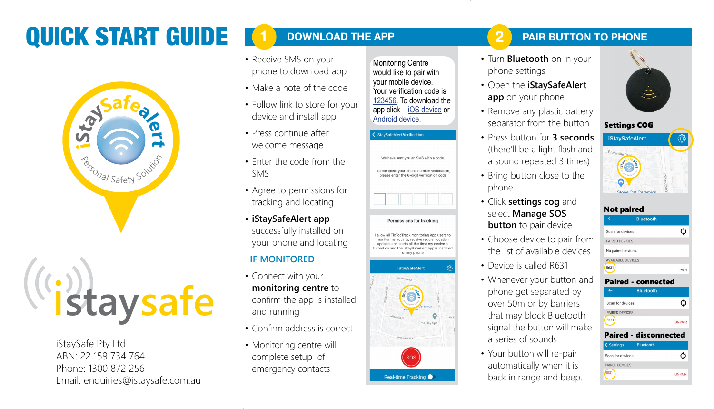## QUICK START GUIDE



# **istaysafe**

iStaySafe Pty Ltd ABN: 22 159 734 764 Phone: 1300 872 256 Email: enquiries@istaysafe.com.au

### **DOWNLOAD THE APP 1 2**

- Receive SMS on your phone to download app
- Make a note of the code
- Follow link to store for your device and install app
- Press continue after welcome message
- Enter the code from the SMS
- Agree to permissions for tracking and locating
- **• iStaySafeAlert app** successfully installed on your phone and locating

#### **IF MONITORED**

- Connect with your **monitoring centre** to confirm the app is installed and running
- Confirm address is correct
- Monitoring centre will complete setup of emergency contacts

**Monitoring Centre** would like to pair with your mobile device. Your verification code is 123456. To download the app click – iOS device or Android device.





#### **PAIR BUTTON TO PHONE**

- Turn **Bluetooth** on in your phone settings
- Open the **iStaySafeAlert app** on your phone
- Remove any plastic battery separator from the button
- Press button for **3 seconds** (there'll be a light flash and a sound repeated 3 times)
- Bring button close to the phone
- Click **settings cog** and select **Manage SOS button** to pair device
- Choose device to pair from the list of available devices
- Device is called R631
- Whenever your button and phone get separated by over 50m or by barriers that may block Bluetooth signal the button will make a series of sounds
- Your button will re-pair automatically when it is back in range and beep.



#### Settings COG



#### Not paired

| ←                  | <b>Bluetooth</b> |     |
|--------------------|------------------|-----|
| can for devices    |                  |     |
| AIRED DEVICES      |                  |     |
| lo paired devices. |                  |     |
| VAILABLE DEVICES   |                  |     |
| 631                |                  | PAI |
|                    |                  |     |

#### Paired - connected

PAIRED DEVICES **R631** 

|                       | <b>Bluetooth</b>      |
|-----------------------|-----------------------|
| Scan for devices      |                       |
| <b>PAIRED DEVICES</b> |                       |
| R631                  | <b>UNPAIR</b>         |
|                       | Paired - disconnected |
| <b>くSettings</b>      | <b>Bluetooth</b>      |
| Scan for devices      |                       |

**UNPAIR**